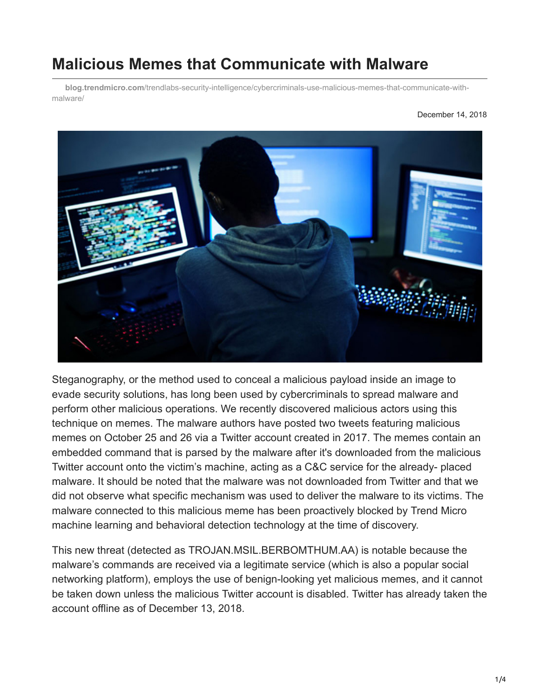# **Malicious Memes that Communicate with Malware**

**blog.trendmicro.com**[/trendlabs-security-intelligence/cybercriminals-use-malicious-memes-that-communicate-with](https://blog.trendmicro.com/trendlabs-security-intelligence/cybercriminals-use-malicious-memes-that-communicate-with-malware/)malware/

#### December 14, 2018



Steganography, or the method used to conceal a malicious payload inside an image to evade security solutions, has long been used by cybercriminals to spread malware and perform other malicious operations. We recently discovered malicious actors using this technique on memes. The malware authors have posted two tweets featuring malicious memes on October 25 and 26 via a Twitter account created in 2017. The memes contain an embedded command that is parsed by the malware after it's downloaded from the malicious Twitter account onto the victim's machine, acting as a C&C service for the already- placed malware. It should be noted that the malware was not downloaded from Twitter and that we did not observe what specific mechanism was used to deliver the malware to its victims. The malware connected to this malicious meme has been proactively blocked by Trend Micro machine learning and behavioral detection technology at the time of discovery.

This new threat (detected as TROJAN.MSIL.BERBOMTHUM.AA) is notable because the malware's commands are received via a legitimate service (which is also a popular social networking platform), employs the use of benign-looking yet malicious memes, and it cannot be taken down unless the malicious Twitter account is disabled. Twitter has already taken the account offline as of December 13, 2018.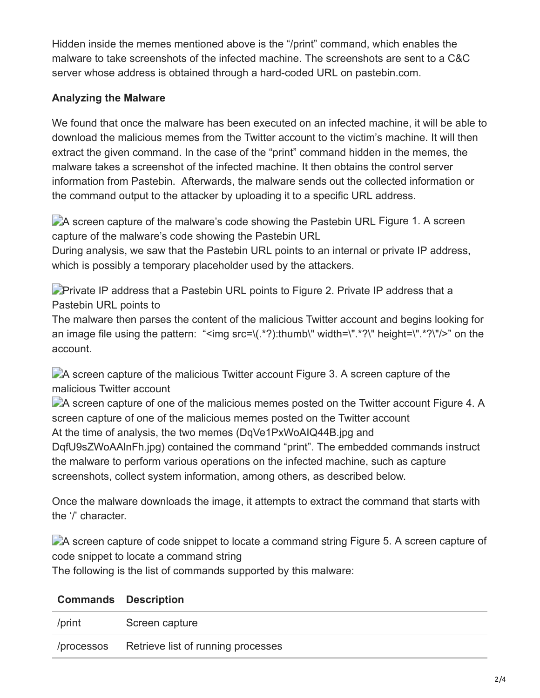Hidden inside the memes mentioned above is the "/print" command, which enables the malware to take screenshots of the infected machine. The screenshots are sent to a C&C server whose address is obtained through a hard-coded URL on pastebin.com.

#### **Analyzing the Malware**

We found that once the malware has been executed on an infected machine, it will be able to download the malicious memes from the Twitter account to the victim's machine. It will then extract the given command. In the case of the "print" command hidden in the memes, the malware takes a screenshot of the infected machine. It then obtains the control server information from Pastebin. Afterwards, the malware sends out the collected information or the command output to the attacker by uploading it to a specific URL address.

A screen capture of the malware's code showing the Pastebin URL Figure 1. A screen capture of the malware's code showing the Pastebin URL

During analysis, we saw that the Pastebin URL points to an internal or private IP address, which is possibly a temporary placeholder used by the attackers.

**Private IP address that a Pastebin URL points to Figure 2. Private IP address that a** Pastebin URL points to

The malware then parses the content of the malicious Twitter account and begins looking for an image file using the pattern: "<img src=\ $(x^*)$ :thumb\" width=\".\*?\" height=\".\*?\"/>" on the account.

A screen capture of the malicious Twitter account Figure 3. A screen capture of the malicious Twitter account

A screen capture of one of the malicious memes posted on the Twitter account Figure 4. A screen capture of one of the malicious memes posted on the Twitter account At the time of analysis, the two memes (DqVe1PxWoAIQ44B.jpg and DqfU9sZWoAAlnFh.jpg) contained the command "print". The embedded commands instruct the malware to perform various operations on the infected machine, such as capture screenshots, collect system information, among others, as described below.

Once the malware downloads the image, it attempts to extract the command that starts with the '/' character.

A screen capture of code snippet to locate a command string Figure 5. A screen capture of code snippet to locate a command string

The following is the list of commands supported by this malware:

| /print     | Screen capture                     |
|------------|------------------------------------|
| /processos | Retrieve list of running processes |

### **Commands Description**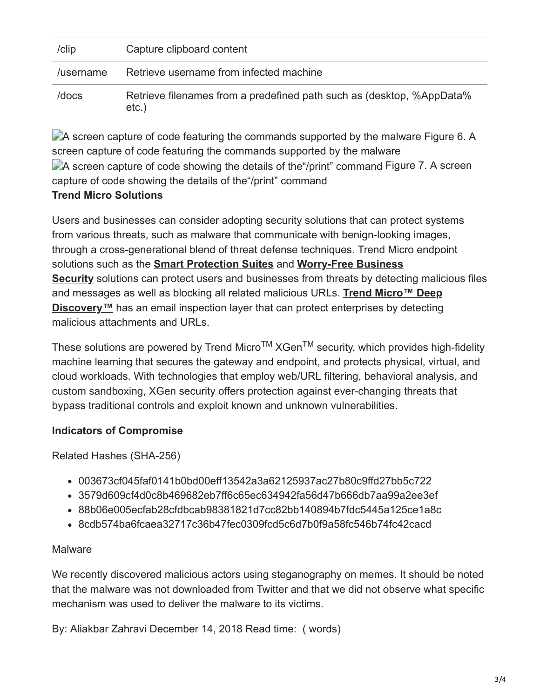| /clip     | Capture clipboard content                                                         |
|-----------|-----------------------------------------------------------------------------------|
| /username | Retrieve username from infected machine                                           |
| /docs     | Retrieve filenames from a predefined path such as (desktop, %AppData%<br>$etc.$ ) |

A screen capture of code featuring the commands supported by the malware Figure 6. A screen capture of code featuring the commands supported by the malware A screen capture of code showing the details of the "/print" command Figure 7. A screen capture of code showing the details of the"/print" command **Trend Micro Solutions**

Users and businesses can consider adopting security solutions that can protect systems from various threats, such as malware that communicate with benign-looking images, through a cross-generational blend of threat defense techniques. Trend Micro endpoint solutions such as the **[Smart Protection Suites](https://blog.trendmicro.com/en_us/business/products/user-protection/sps.html)** and **Worry-Free Business Security** [solutions can protect users and businesses from threats by detect](https://blog.trendmicro.com/en_us/small-business/worry-free.html)ing malicious files and messages as well as blocking all related malicious URLs. **Trend Micro™ Deep Discovery**<sup>™</sup> [has an email inspection layer that can protect enterprises by detecting](https://blog.trendmicro.com/en_us/business/products/network/advanced-threat-protection/deep-discovery-threat-intelligence-network-analytics.html) malicious attachments and URLs.

These solutions are powered by Trend Micro<sup>TM</sup> XGen<sup>TM</sup> security, which provides high-fidelity machine learning that secures the gateway and endpoint, and protects physical, virtual, and cloud workloads. With technologies that employ web/URL filtering, behavioral analysis, and custom sandboxing, XGen security offers protection against ever-changing threats that bypass traditional controls and exploit known and unknown vulnerabilities.

#### **Indicators of Compromise**

Related Hashes (SHA-256)

- 003673cf045faf0141b0bd00eff13542a3a62125937ac27b80c9ffd27bb5c722
- 3579d609cf4d0c8b469682eb7ff6c65ec634942fa56d47b666db7aa99a2ee3ef
- 88b06e005ecfab28cfdbcab98381821d7cc82bb140894b7fdc5445a125ce1a8c
- 8cdb574ba6fcaea32717c36b47fec0309fcd5c6d7b0f9a58fc546b74fc42cacd

## Malware

We recently discovered malicious actors using steganography on memes. It should be noted that the malware was not downloaded from Twitter and that we did not observe what specific mechanism was used to deliver the malware to its victims.

By: Aliakbar Zahravi December 14, 2018 Read time: ( words)